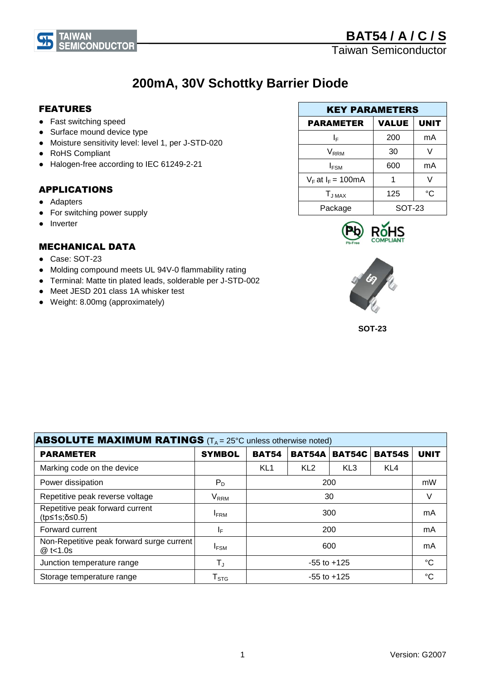# **200mA, 30V Schottky Barrier Diode**

## FEATURES

- Fast switching speed
- Surface mound device type

**EMICONDUCTOR** 

- Moisture sensitivity level: level 1, per J-STD-020
- RoHS Compliant

**TAIWAN** 

● Halogen-free according to IEC 61249-2-21

# APPLICATIONS

- Adapters
- For switching power supply
- Inverter

# MECHANICAL DATA

- Case: SOT-23
- Molding compound meets UL 94V-0 flammability rating
- Terminal: Matte tin plated leads, solderable per J-STD-002
- Meet JESD 201 class 1A whisker test
- Weight: 8.00mg (approximately)

| <b>KEY PARAMETERS</b>  |               |             |  |  |
|------------------------|---------------|-------------|--|--|
| <b>PARAMETER</b>       | <b>VALUE</b>  | <b>UNIT</b> |  |  |
| ΙF                     | 200           | mA          |  |  |
| V <sub>RRM</sub>       | 30            |             |  |  |
| $I_{FSM}$              | 600           | mA          |  |  |
| $V_F$ at $I_F$ = 100mA |               |             |  |  |
| $T_{JMAX}$             | 125           | °C          |  |  |
| Package                | <b>SOT-23</b> |             |  |  |





**SOT-23**

| <b>ABSOLUTE MAXIMUM RATINGS</b> ( $T_A = 25^\circ$ C unless otherwise noted) |                             |                 |                 |                 |                 |             |
|------------------------------------------------------------------------------|-----------------------------|-----------------|-----------------|-----------------|-----------------|-------------|
| <b>PARAMETER</b>                                                             | <b>SYMBOL</b>               | <b>BAT54</b>    | <b>BAT54A</b>   | <b>BAT54C</b>   | <b>BAT54S</b>   | <b>UNIT</b> |
| Marking code on the device                                                   |                             | KL <sub>1</sub> | KL <sub>2</sub> | KL <sub>3</sub> | KL <sub>4</sub> |             |
| Power dissipation                                                            | $P_D$                       | 200             |                 |                 | mW              |             |
| Repetitive peak reverse voltage                                              | $V_{RRM}$                   | 30              |                 |                 |                 | V           |
| Repetitive peak forward current<br>(tp≤1s;δ≤0.5)                             | <b>IFRM</b>                 | 300             |                 |                 | mA              |             |
| Forward current                                                              | IF.                         | 200             |                 |                 | mA              |             |
| Non-Repetitive peak forward surge current<br>@ t<1.0s                        | <b>IFSM</b>                 | 600             |                 |                 | mA              |             |
| Junction temperature range                                                   | $T_{\rm J}$                 | $-55$ to $+125$ |                 |                 | $\rm ^{\circ}C$ |             |
| Storage temperature range                                                    | $\mathsf{T}_{\texttt{STG}}$ | $-55$ to $+125$ |                 |                 | $^{\circ}C$     |             |

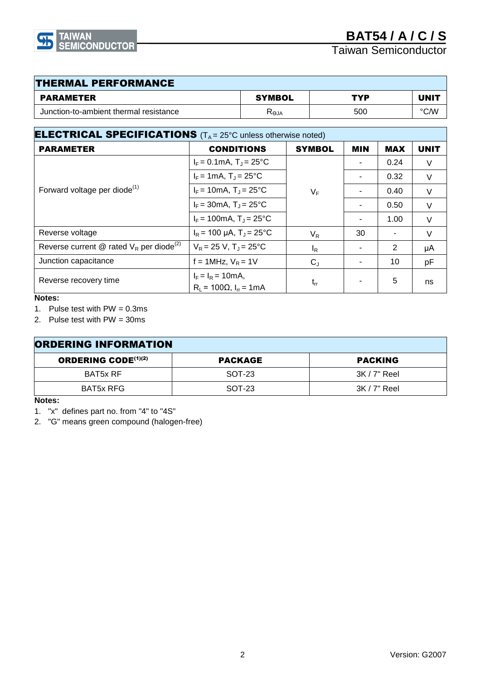

| <b>THERMAL PERFORMANCE</b>             |             |     |             |  |
|----------------------------------------|-------------|-----|-------------|--|
| PARAMETER                              | SYMBOL      | TYP | <b>UNIT</b> |  |
| Junction-to-ambient thermal resistance | <b>ALƏZ</b> | 500 | °C∕W        |  |

| <b>ELECTRICAL SPECIFICATIONS</b> $(T_A = 25^{\circ}C)$ unless otherwise noted) |                                                             |               |            |            |             |
|--------------------------------------------------------------------------------|-------------------------------------------------------------|---------------|------------|------------|-------------|
| <b>PARAMETER</b>                                                               | <b>CONDITIONS</b>                                           | <b>SYMBOL</b> | <b>MIN</b> | <b>MAX</b> | <b>UNIT</b> |
| Forward voltage per diode <sup>(1)</sup>                                       | $I_F = 0.1 \text{mA}$ , $T_J = 25 \text{°C}$                | $V_F$         |            | 0.24       | V           |
|                                                                                | $I_F = 1 \text{mA}, T_J = 25^{\circ} \text{C}$              |               |            | 0.32       | V           |
|                                                                                | $I_F = 10 \text{mA}, T_J = 25^{\circ} \text{C}$             |               |            | 0.40       | V           |
|                                                                                | $I_F = 30 \text{mA}, T_J = 25^{\circ} \text{C}$             |               |            | 0.50       | $\vee$      |
|                                                                                | $I_F = 100 \text{mA}, T_J = 25^{\circ} \text{C}$            |               |            | 1.00       | V           |
| Reverse voltage                                                                | $I_R$ = 100 µA, T <sub>J</sub> = 25 °C                      | $V_R$         | 30         |            | V           |
| Reverse current @ rated $V_R$ per diode <sup>(2)</sup>                         | $V_R = 25 V$ , $T_J = 25^{\circ}C$                          | $I_R$         |            | 2          | μA          |
| Junction capacitance                                                           | $f = 1$ MHz, $V_R = 1$ V                                    | $C_{J}$       |            | 10         | pF          |
| Reverse recovery time                                                          | $I_F = I_R = 10mA,$<br>$R_1 = 100Ω$ , I <sub>rr</sub> = 1mA | $t_{rr}$      |            | 5          | ns          |

#### **Notes:**

1. Pulse test with PW = 0.3ms

2. Pulse test with PW = 30ms

| <b>ORDERING INFORMATION</b> |                |                |  |
|-----------------------------|----------------|----------------|--|
| <b>ORDERING CODE(1)(2)</b>  | <b>PACKAGE</b> | <b>PACKING</b> |  |
| BAT5x RF                    | SOT-23         | $3K/7"$ Reel   |  |
| BAT5x RFG                   | SOT-23         | $3K/7"$ Reel   |  |

#### **Notes:**

- 1. "x" defines part no. from "4" to "4S"
- 2. "G" means green compound (halogen-free)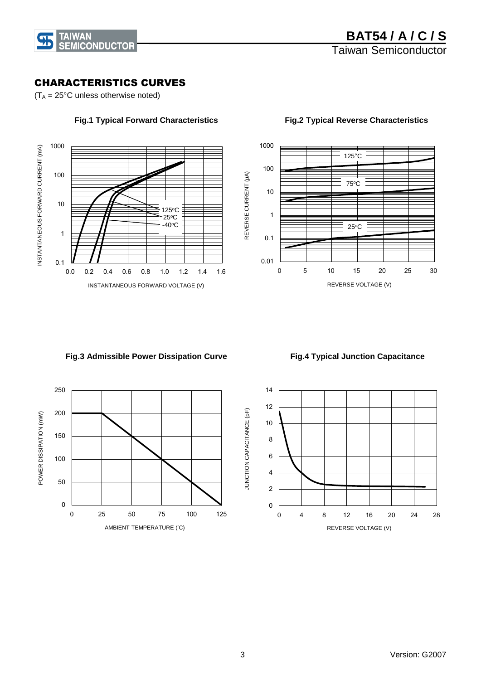

### CHARACTERISTICS CURVES

 $(T_A = 25^{\circ}C$  unless otherwise noted)





#### **Fig.1 Typical Forward Characteristics Fig.2 Typical Reverse Characteristics**

REVERSE VOLTAGE (V)

#### **Fig.3 Admissible Power Dissipation Curve**

 **Fig.4 Typical Junction Capacitance**





REVERSE CURRENT (µA)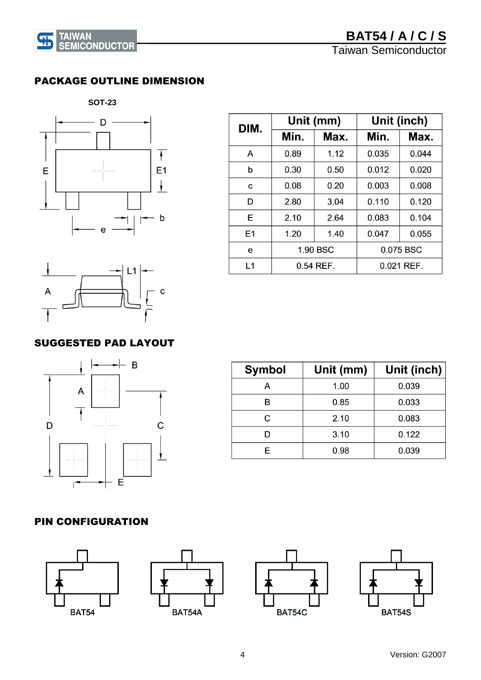### PACKAGE OUTLINE DIMENSION

 **SOT-23**

**45** TAIWAN<br>SEMICONDUCTOR



| DIM.           | Unit (mm) |      |       | Unit (inch) |
|----------------|-----------|------|-------|-------------|
|                | Min.      | Max. | Min.  | Max.        |
| A              | 0.89      | 1.12 | 0.035 | 0.044       |
| b              | 0.30      | 0.50 | 0.012 | 0.020       |
| C              | 0.08      | 0.20 | 0.003 | 0.008       |
| D              | 2.80      | 3.04 | 0.110 | 0.120       |
| E              | 2.10      | 2.64 | 0.083 | 0.104       |
| E <sub>1</sub> | 1.20      | 1.40 | 0.047 | 0.055       |
| e              | 1.90 BSC  |      |       | 0.075 BSC   |
| L1             | 0.54 REF. |      |       | 0.021 REF.  |



# SUGGESTED PAD LAYOUT



| <b>Symbol</b> | Unit (mm) | Unit (inch) |
|---------------|-----------|-------------|
| A             | 1.00      | 0.039       |
| R             | 0.85      | 0.033       |
| C             | 2.10      | 0.083       |
|               | 3.10      | 0.122       |
| F             | 0.98      | 0.039       |

## PIN CONFIGURATION

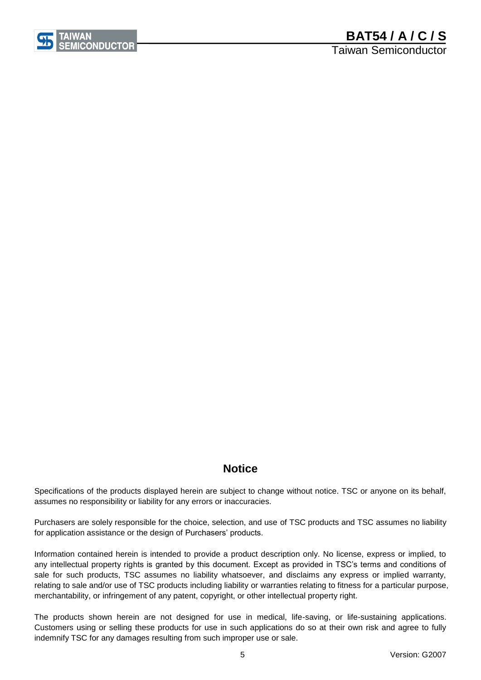

# **Notice**

Specifications of the products displayed herein are subject to change without notice. TSC or anyone on its behalf, assumes no responsibility or liability for any errors or inaccuracies.

Purchasers are solely responsible for the choice, selection, and use of TSC products and TSC assumes no liability for application assistance or the design of Purchasers' products.

Information contained herein is intended to provide a product description only. No license, express or implied, to any intellectual property rights is granted by this document. Except as provided in TSC's terms and conditions of sale for such products, TSC assumes no liability whatsoever, and disclaims any express or implied warranty, relating to sale and/or use of TSC products including liability or warranties relating to fitness for a particular purpose, merchantability, or infringement of any patent, copyright, or other intellectual property right.

The products shown herein are not designed for use in medical, life-saving, or life-sustaining applications. Customers using or selling these products for use in such applications do so at their own risk and agree to fully indemnify TSC for any damages resulting from such improper use or sale.